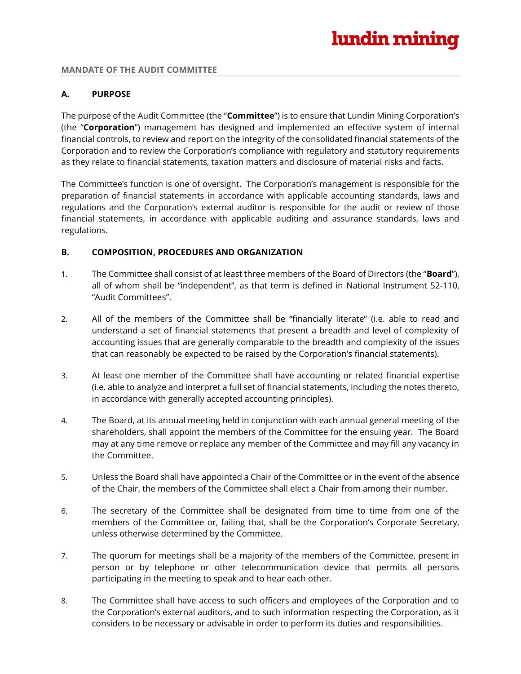#### **MANDATE OF THE AUDIT COMMITTEE**

## **A. PURPOSE**

The purpose of the Audit Committee (the "**Committee**") is to ensure that Lundin Mining Corporation's (the "**Corporation**") management has designed and implemented an effective system of internal financial controls, to review and report on the integrity of the consolidated financial statements of the Corporation and to review the Corporation's compliance with regulatory and statutory requirements as they relate to financial statements, taxation matters and disclosure of material risks and facts.

The Committee's function is one of oversight. The Corporation's management is responsible for the preparation of financial statements in accordance with applicable accounting standards, laws and regulations and the Corporation's external auditor is responsible for the audit or review of those financial statements, in accordance with applicable auditing and assurance standards, laws and regulations.

## **B. COMPOSITION, PROCEDURES AND ORGANIZATION**

- 1. The Committee shall consist of at least three members of the Board of Directors (the "**Board**"), all of whom shall be "independent", as that term is defined in National Instrument 52-110, "Audit Committees".
- 2. All of the members of the Committee shall be "financially literate" (i.e. able to read and understand a set of financial statements that present a breadth and level of complexity of accounting issues that are generally comparable to the breadth and complexity of the issues that can reasonably be expected to be raised by the Corporation's financial statements).
- 3. At least one member of the Committee shall have accounting or related financial expertise (i.e. able to analyze and interpret a full set of financial statements, including the notes thereto, in accordance with generally accepted accounting principles).
- 4. The Board, at its annual meeting held in conjunction with each annual general meeting of the shareholders, shall appoint the members of the Committee for the ensuing year. The Board may at any time remove or replace any member of the Committee and may fill any vacancy in the Committee.
- 5. Unless the Board shall have appointed a Chair of the Committee or in the event of the absence of the Chair, the members of the Committee shall elect a Chair from among their number.
- 6. The secretary of the Committee shall be designated from time to time from one of the members of the Committee or, failing that, shall be the Corporation's Corporate Secretary, unless otherwise determined by the Committee.
- 7. The quorum for meetings shall be a majority of the members of the Committee, present in person or by telephone or other telecommunication device that permits all persons participating in the meeting to speak and to hear each other.
- 8. The Committee shall have access to such officers and employees of the Corporation and to the Corporation's external auditors, and to such information respecting the Corporation, as it considers to be necessary or advisable in order to perform its duties and responsibilities.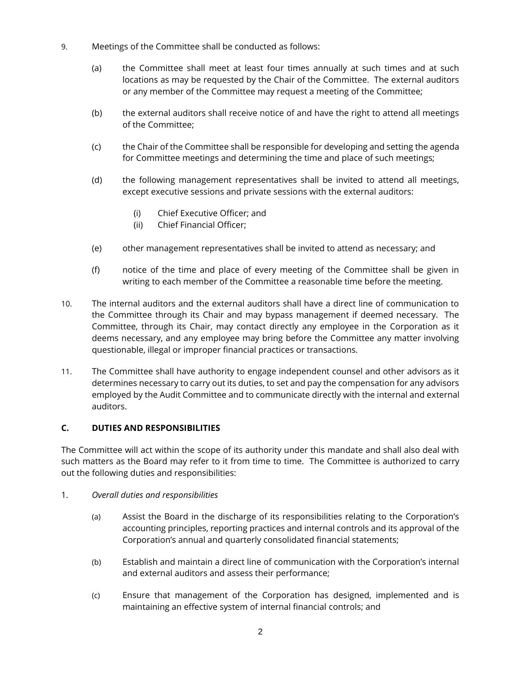- 9. Meetings of the Committee shall be conducted as follows:
	- (a) the Committee shall meet at least four times annually at such times and at such locations as may be requested by the Chair of the Committee. The external auditors or any member of the Committee may request a meeting of the Committee;
	- (b) the external auditors shall receive notice of and have the right to attend all meetings of the Committee;
	- (c) the Chair of the Committee shall be responsible for developing and setting the agenda for Committee meetings and determining the time and place of such meetings;
	- (d) the following management representatives shall be invited to attend all meetings, except executive sessions and private sessions with the external auditors:
		- (i) Chief Executive Officer; and
		- (ii) Chief Financial Officer;
	- (e) other management representatives shall be invited to attend as necessary; and
	- (f) notice of the time and place of every meeting of the Committee shall be given in writing to each member of the Committee a reasonable time before the meeting.
- 10. The internal auditors and the external auditors shall have a direct line of communication to the Committee through its Chair and may bypass management if deemed necessary. The Committee, through its Chair, may contact directly any employee in the Corporation as it deems necessary, and any employee may bring before the Committee any matter involving questionable, illegal or improper financial practices or transactions.
- 11. The Committee shall have authority to engage independent counsel and other advisors as it determines necessary to carry out its duties, to set and pay the compensation for any advisors employed by the Audit Committee and to communicate directly with the internal and external auditors.

# **C. DUTIES AND RESPONSIBILITIES**

The Committee will act within the scope of its authority under this mandate and shall also deal with such matters as the Board may refer to it from time to time. The Committee is authorized to carry out the following duties and responsibilities:

# 1. *Overall duties and responsibilities*

- (a) Assist the Board in the discharge of its responsibilities relating to the Corporation's accounting principles, reporting practices and internal controls and its approval of the Corporation's annual and quarterly consolidated financial statements;
- (b) Establish and maintain a direct line of communication with the Corporation's internal and external auditors and assess their performance;
- (c) Ensure that management of the Corporation has designed, implemented and is maintaining an effective system of internal financial controls; and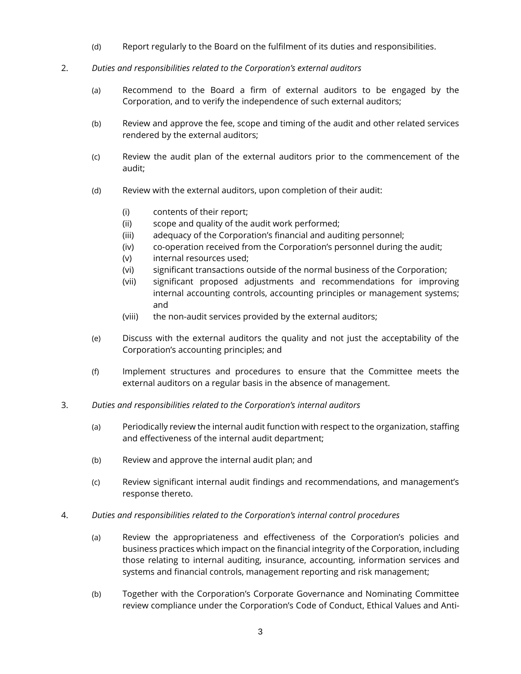- (d) Report regularly to the Board on the fulfilment of its duties and responsibilities.
- 2. *Duties and responsibilities related to the Corporation's external auditors*
	- (a) Recommend to the Board a firm of external auditors to be engaged by the Corporation, and to verify the independence of such external auditors;
	- (b) Review and approve the fee, scope and timing of the audit and other related services rendered by the external auditors;
	- (c) Review the audit plan of the external auditors prior to the commencement of the audit;
	- (d) Review with the external auditors, upon completion of their audit:
		- (i) contents of their report;
		- (ii) scope and quality of the audit work performed;
		- (iii) adequacy of the Corporation's financial and auditing personnel;
		- (iv) co-operation received from the Corporation's personnel during the audit;
		- (v) internal resources used;
		- (vi) significant transactions outside of the normal business of the Corporation;
		- (vii) significant proposed adjustments and recommendations for improving internal accounting controls, accounting principles or management systems; and
		- (viii) the non-audit services provided by the external auditors;
	- (e) Discuss with the external auditors the quality and not just the acceptability of the Corporation's accounting principles; and
	- (f) Implement structures and procedures to ensure that the Committee meets the external auditors on a regular basis in the absence of management.
- 3. *Duties and responsibilities related to the Corporation's internal auditors*
	- (a) Periodically review the internal audit function with respect to the organization, staffing and effectiveness of the internal audit department;
	- (b) Review and approve the internal audit plan; and
	- (c) Review significant internal audit findings and recommendations, and management's response thereto.
- 4. *Duties and responsibilities related to the Corporation's internal control procedures*
	- (a) Review the appropriateness and effectiveness of the Corporation's policies and business practices which impact on the financial integrity of the Corporation, including those relating to internal auditing, insurance, accounting, information services and systems and financial controls, management reporting and risk management;
	- (b) Together with the Corporation's Corporate Governance and Nominating Committee review compliance under the Corporation's Code of Conduct, Ethical Values and Anti-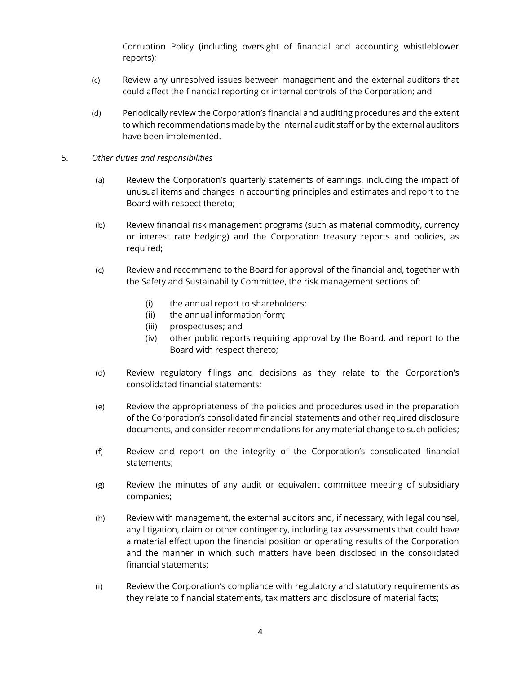Corruption Policy (including oversight of financial and accounting whistleblower reports);

- (c) Review any unresolved issues between management and the external auditors that could affect the financial reporting or internal controls of the Corporation; and
- (d) Periodically review the Corporation's financial and auditing procedures and the extent to which recommendations made by the internal audit staff or by the external auditors have been implemented.

#### 5. *Other duties and responsibilities*

- (a) Review the Corporation's quarterly statements of earnings, including the impact of unusual items and changes in accounting principles and estimates and report to the Board with respect thereto;
- (b) Review financial risk management programs (such as material commodity, currency or interest rate hedging) and the Corporation treasury reports and policies, as required;
- (c) Review and recommend to the Board for approval of the financial and, together with the Safety and Sustainability Committee, the risk management sections of:
	- (i) the annual report to shareholders;
	- (ii) the annual information form;
	- (iii) prospectuses; and
	- (iv) other public reports requiring approval by the Board, and report to the Board with respect thereto;
- (d) Review regulatory filings and decisions as they relate to the Corporation's consolidated financial statements;
- (e) Review the appropriateness of the policies and procedures used in the preparation of the Corporation's consolidated financial statements and other required disclosure documents, and consider recommendations for any material change to such policies;
- (f) Review and report on the integrity of the Corporation's consolidated financial statements;
- (g) Review the minutes of any audit or equivalent committee meeting of subsidiary companies;
- (h) Review with management, the external auditors and, if necessary, with legal counsel, any litigation, claim or other contingency, including tax assessments that could have a material effect upon the financial position or operating results of the Corporation and the manner in which such matters have been disclosed in the consolidated financial statements;
- (i) Review the Corporation's compliance with regulatory and statutory requirements as they relate to financial statements, tax matters and disclosure of material facts;